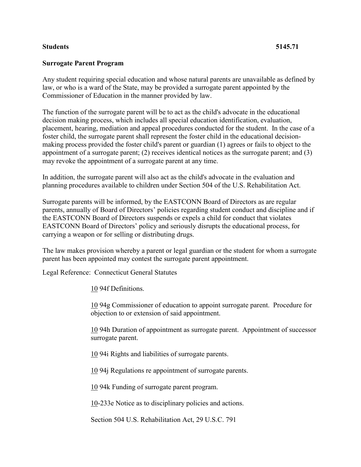## **Students 5145.71**

## **Surrogate Parent Program**

Any student requiring special education and whose natural parents are unavailable as defined by law, or who is a ward of the State, may be provided a surrogate parent appointed by the Commissioner of Education in the manner provided by law.

The function of the surrogate parent will be to act as the child's advocate in the educational decision making process, which includes all special education identification, evaluation, placement, hearing, mediation and appeal procedures conducted for the student. In the case of a foster child, the surrogate parent shall represent the foster child in the educational decisionmaking process provided the foster child's parent or guardian (1) agrees or fails to object to the appointment of a surrogate parent; (2) receives identical notices as the surrogate parent; and (3) may revoke the appointment of a surrogate parent at any time.

In addition, the surrogate parent will also act as the child's advocate in the evaluation and planning procedures available to children under Section 504 of the U.S. Rehabilitation Act.

Surrogate parents will be informed, by the EASTCONN Board of Directors as are regular parents, annually of Board of Directors' policies regarding student conduct and discipline and if the EASTCONN Board of Directors suspends or expels a child for conduct that violates EASTCONN Board of Directors' policy and seriously disrupts the educational process, for carrying a weapon or for selling or distributing drugs.

The law makes provision whereby a parent or legal guardian or the student for whom a surrogate parent has been appointed may contest the surrogate parent appointment.

Legal Reference: Connecticut General Statutes

[10](http://www.cga.ct.gov/2011/pub/Title10.htm) 94f Definitions.

[10](http://www.cga.ct.gov/2011/pub/Title10.htm) 94g Commissioner of education to appoint surrogate parent. Procedure for objection to or extension of said appointment.

[10](http://www.cga.ct.gov/2011/pub/Title10.htm) 94h Duration of appointment as surrogate parent. Appointment of successor surrogate parent.

[10](http://www.cga.ct.gov/2011/pub/Title10.htm) 94i Rights and liabilities of surrogate parents.

[10](http://www.cga.ct.gov/2011/pub/Title10.htm) 94j Regulations re appointment of surrogate parents.

[10](http://www.cga.ct.gov/2011/pub/Title10.htm) 94k Funding of surrogate parent program.

[10-](http://www.cga.ct.gov/2011/pub/Title10.htm)233e Notice as to disciplinary policies and actions.

Section 504 U.S. Rehabilitation Act, 29 U.S.C. 791